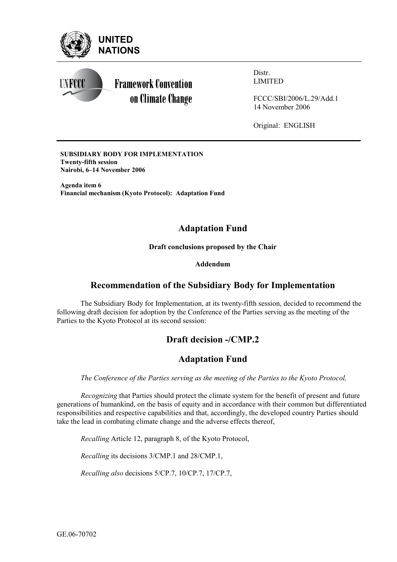

**Framework Convention** on Climate Change Distr. LIMITED

FCCC/SBI/2006/L.29/Add.1 14 November 2006

Original: ENGLISH

**SUBSIDIARY BODY FOR IMPLEMENTATION Twenty-fifth session Nairobi, 6–14 November 2006** 

**Agenda item 6 Financial mechanism (Kyoto Protocol): Adaptation Fund** 

# **Adaptation Fund**

**Draft conclusions proposed by the Chair** 

### **Addendum**

## **Recommendation of the Subsidiary Body for Implementation**

The Subsidiary Body for Implementation, at its twenty-fifth session, decided to recommend the following draft decision for adoption by the Conference of the Parties serving as the meeting of the Parties to the Kyoto Protocol at its second session:

# **Draft decision -/CMP.2**

## **Adaptation Fund**

*The Conference of the Parties serving as the meeting of the Parties to the Kyoto Protocol,* 

*Recognizing* that Parties should protect the climate system for the benefit of present and future generations of humankind, on the basis of equity and in accordance with their common but differentiated responsibilities and respective capabilities and that, accordingly, the developed country Parties should take the lead in combating climate change and the adverse effects thereof,

*Recalling* Article 12, paragraph 8, of the Kyoto Protocol,

*Recalling* its decisions 3/CMP.1 and 28/CMP.1,

*Recalling also* decisions 5/CP.7, 10/CP.7, 17/CP.7,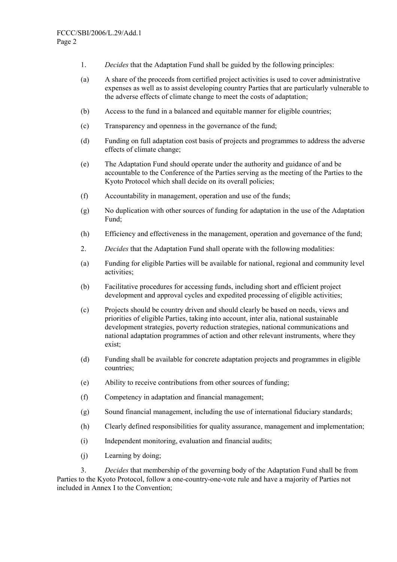- 1. *Decides* that the Adaptation Fund shall be guided by the following principles:
- (a) A share of the proceeds from certified project activities is used to cover administrative expenses as well as to assist developing country Parties that are particularly vulnerable to the adverse effects of climate change to meet the costs of adaptation;
- (b) Access to the fund in a balanced and equitable manner for eligible countries;
- (c) Transparency and openness in the governance of the fund;
- (d) Funding on full adaptation cost basis of projects and programmes to address the adverse effects of climate change;
- (e) The Adaptation Fund should operate under the authority and guidance of and be accountable to the Conference of the Parties serving as the meeting of the Parties to the Kyoto Protocol which shall decide on its overall policies;
- (f) Accountability in management, operation and use of the funds;
- (g) No duplication with other sources of funding for adaptation in the use of the Adaptation Fund;
- (h) Efficiency and effectiveness in the management, operation and governance of the fund;
- 2. *Decides* that the Adaptation Fund shall operate with the following modalities:
- (a) Funding for eligible Parties will be available for national, regional and community level activities;
- (b) Facilitative procedures for accessing funds, including short and efficient project development and approval cycles and expedited processing of eligible activities;
- (c) Projects should be country driven and should clearly be based on needs, views and priorities of eligible Parties, taking into account, inter alia, national sustainable development strategies, poverty reduction strategies, national communications and national adaptation programmes of action and other relevant instruments, where they exist;
- (d) Funding shall be available for concrete adaptation projects and programmes in eligible countries;
- (e) Ability to receive contributions from other sources of funding;
- (f) Competency in adaptation and financial management;
- (g) Sound financial management, including the use of international fiduciary standards;
- (h) Clearly defined responsibilities for quality assurance, management and implementation;
- (i) Independent monitoring, evaluation and financial audits;
- (j) Learning by doing;

3. *Decides* that membership of the governing body of the Adaptation Fund shall be from Parties to the Kyoto Protocol, follow a one-country-one-vote rule and have a majority of Parties not included in Annex I to the Convention;